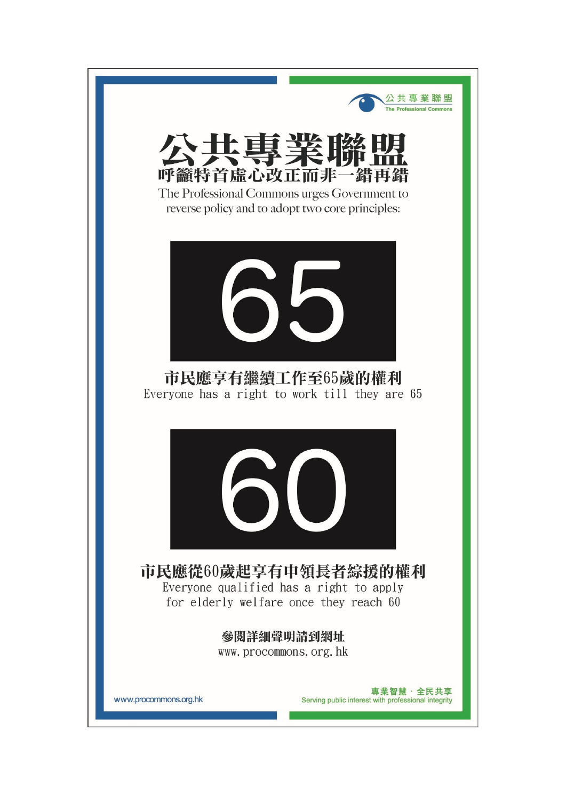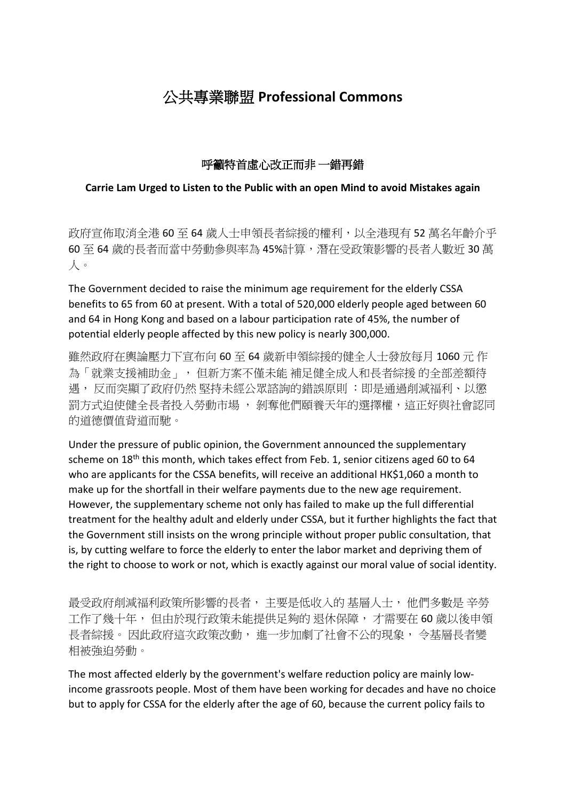## 公共專業聯盟 **Professional Commons**

## 呼籲特首虛心改正而非 一錯再錯

## **Carrie Lam Urged to Listen to the Public with an open Mind to avoid Mistakes again**

政府宣佈取消全港 60 至 64 歲人士申領長者綜援的權利,以全港現有 52 萬名年齡介乎 60 至 64 歲的長者而當中勞動參與率為 45%計算,潛在受政策影響的長者人數近 30 萬 人。

The Government decided to raise the minimum age requirement for the elderly CSSA benefits to 65 from 60 at present. With a total of 520,000 elderly people aged between 60 and 64 in Hong Kong and based on a labour participation rate of 45%, the number of potential elderly people affected by this new policy is nearly 300,000.

雖然政府在輿論壓力下宣布向 60 至 64 歲新申領綜援的健全人士發放每月 1060 元 作 為「就業支援補助金」, 但新方案不僅未能 補足健全成人和長者綜援 的全部差額待 遇, 反而突顯了政府仍然 堅持未經公眾諮詢的錯誤原則 :即是通過削減福利、以懲 罰方式迫使健全長者投入勞動市場 , 剝奪他們頤養天年的選擇權,這正好與社會認同 的道德價值背道而馳。

Under the pressure of public opinion, the Government announced the supplementary scheme on  $18<sup>th</sup>$  this month, which takes effect from Feb. 1, senior citizens aged 60 to 64 who are applicants for the CSSA benefits, will receive an additional HK\$1,060 a month to make up for the shortfall in their welfare payments due to the new age requirement. However, the supplementary scheme not only has failed to make up the full differential treatment for the healthy adult and elderly under CSSA, but it further highlights the fact that the Government still insists on the wrong principle without proper public consultation, that is, by cutting welfare to force the elderly to enter the labor market and depriving them of the right to choose to work or not, which is exactly against our moral value of social identity.

最受政府削減福利政策所影響的長者, 主要是低收入的 基層人士, 他們多數是 辛勞 工作了幾十年, 但由於現行政策未能提供足夠的 退休保障, 才需要在 60 歲以後申領 長者綜援。 因此政府這次政策改動, 進一步加劇了社會不公的現象, 令基層長者變 相被強迫勞動。

The most affected elderly by the government's welfare reduction policy are mainly lowincome grassroots people. Most of them have been working for decades and have no choice but to apply for CSSA for the elderly after the age of 60, because the current policy fails to